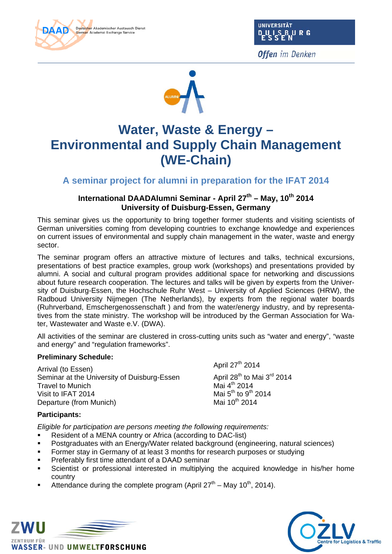



**Offen** im Denken



# **Water, Waste & Energy – Environmental and Supply Chain Management (WE-Chain)**

**A seminar project for alumni in preparation for the IFAT 2014** 

# **International DAADAlumni Seminar - April 27th – May, 10th 2014 University of Duisburg-Essen, Germany**

This seminar gives us the opportunity to bring together former students and visiting scientists of German universities coming from developing countries to exchange knowledge and experiences on current issues of environmental and supply chain management in the water, waste and energy sector.

The seminar program offers an attractive mixture of lectures and talks, technical excursions, presentations of best practice examples, group work (workshops) and presentations provided by alumni. A social and cultural program provides additional space for networking and discussions about future research cooperation. The lectures and talks will be given by experts from the University of Duisburg-Essen, the Hochschule Ruhr West – University of Applied Sciences (HRW), the Radboud University Nijmegen (The Netherlands), by experts from the regional water boards (Ruhrverband, Emschergenossenschaft ) and from the water/energy industry, and by representatives from the state ministry. The workshop will be introduced by the German Association for Water, Wastewater and Waste e.V. (DWA).

All activities of the seminar are clustered in cross-cutting units such as "water and energy", "waste and energy" and "regulation frameworks".

## **Preliminary Schedule:**

Arrival (to Essen) April 27<sup>th</sup> 2014 Seminar at the University of Duisburg-Essen April 28<sup>th</sup> to Mai 3<sup>rd</sup> 2014<br>Travel to Munich **August 2014** Mai 4<sup>th</sup> 2014 **Travel to Munich** Visit to IFAT 2014 Mai 5<sup>th</sup> to 9<sup>th</sup> 2014<br>Departure (from Munich) Mai 10<sup>th</sup> 2014 Departure (from Munich)

## **Participants:**

*Eligible for participation are persons meeting the following requirements:* 

- Resident of a MENA country or Africa (according to DAC-list)
- Postgraduates with an Energy/Water related background (engineering, natural sciences)
- Former stay in Germany of at least 3 months for research purposes or studying
- Preferably first time attendant of a DAAD seminar
- Scientist or professional interested in multiplying the acquired knowledge in his/her home country
- Attendance during the complete program (April  $27<sup>th</sup>$  May 10<sup>th</sup>, 2014).